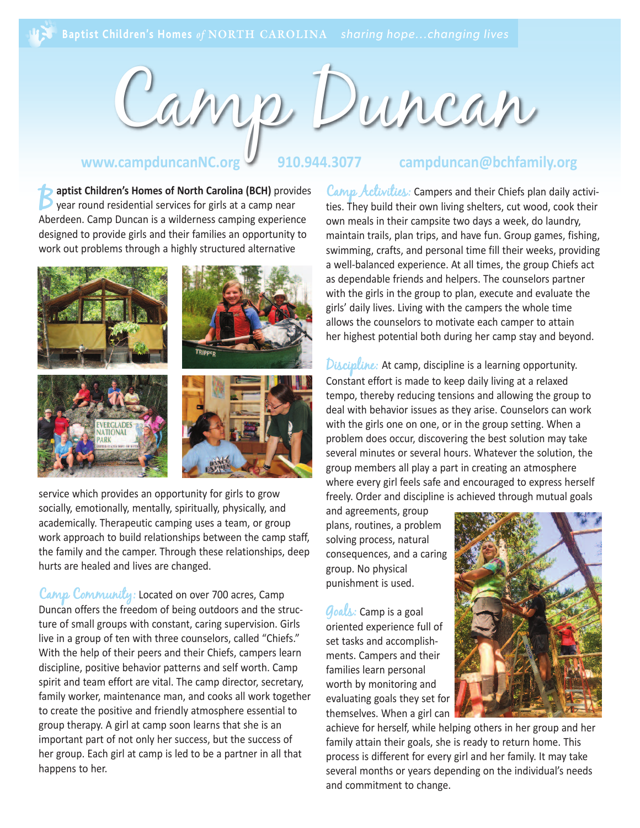

#### **www.campduncanNC.org 910.944.3077 campduncan@bchfamily.org**

**Baptist Children's Homes of North Carolina (BCH)** provides<br>year round residential services for girls at a camp near<br>absorbers for girls at a camp near Aberdeen. Camp Duncan is a wilderness camping experience designed to provide girls and their families an opportunity to work out problems through a highly structured alternative



service which provides an opportunity for girls to grow socially, emotionally, mentally, spiritually, physically, and academically. Therapeutic camping uses a team, or group work approach to build relationships between the camp staff, the family and the camper. Through these relationships, deep hurts are healed and lives are changed.

Camp Community: Located on over 700 acres, Camp Duncan offers the freedom of being outdoors and the structure of small groups with constant, caring supervision. Girls live in a group of ten with three counselors, called "Chiefs." With the help of their peers and their Chiefs, campers learn discipline, positive behavior patterns and self worth. Camp spirit and team effort are vital. The camp director, secretary, family worker, maintenance man, and cooks all work together to create the positive and friendly atmosphere essential to group therapy. A girl at camp soon learns that she is an important part of not only her success, but the success of her group. Each girl at camp is led to be a partner in all that happens to her.

Camp Activities: Campers and their Chiefs plan daily activities. They build their own living shelters, cut wood, cook their own meals in their campsite two days a week, do laundry, maintain trails, plan trips, and have fun. Group games, fishing, swimming, crafts, and personal time fill their weeks, providing a well-balanced experience. At all times, the group Chiefs act as dependable friends and helpers. The counselors partner with the girls in the group to plan, execute and evaluate the girls' daily lives. Living with the campers the whole time allows the counselors to motivate each camper to attain her highest potential both during her camp stay and beyond.

Discipline: At camp, discipline is a learning opportunity. Constant effort is made to keep daily living at a relaxed tempo, thereby reducing tensions and allowing the group to deal with behavior issues as they arise. Counselors can work with the girls one on one, or in the group setting. When a problem does occur, discovering the best solution may take several minutes or several hours. Whatever the solution, the group members all play a part in creating an atmosphere where every girl feels safe and encouraged to express herself freely. Order and discipline is achieved through mutual goals

and agreements, group plans, routines, a problem solving process, natural consequences, and a caring group. No physical punishment is used.

 $\mathcal{G}$ oals: Camp is a goal oriented experience full of set tasks and accomplishments. Campers and their families learn personal worth by monitoring and evaluating goals they set for themselves. When a girl can



achieve for herself, while helping others in her group and her family attain their goals, she is ready to return home. This process is different for every girl and her family. It may take several months or years depending on the individual's needs and commitment to change.